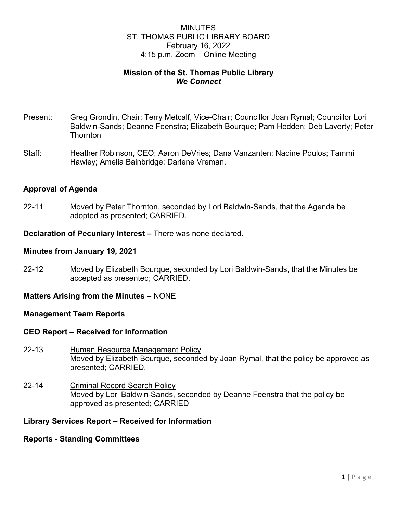# MINUTES ST. THOMAS PUBLIC LIBRARY BOARD February 16, 2022 4:15 p.m. Zoom – Online Meeting

# **Mission of the St. Thomas Public Library** *We Connect*

- Present: Greg Grondin, Chair; Terry Metcalf, Vice-Chair; Councillor Joan Rymal; Councillor Lori Baldwin-Sands; Deanne Feenstra; Elizabeth Bourque; Pam Hedden; Deb Laverty; Peter **Thornton**
- Staff: Heather Robinson, CEO; Aaron DeVries; Dana Vanzanten; Nadine Poulos; Tammi Hawley; Amelia Bainbridge; Darlene Vreman.

### **Approval of Agenda**

22-11 Moved by Peter Thornton, seconded by Lori Baldwin-Sands, that the Agenda be adopted as presented; CARRIED.

**Declaration of Pecuniary Interest –** There was none declared.

#### **Minutes from January 19, 2021**

22-12 Moved by Elizabeth Bourque, seconded by Lori Baldwin-Sands, that the Minutes be accepted as presented; CARRIED.

### **Matters Arising from the Minutes –** NONE

### **Management Team Reports**

#### **CEO Report – Received for Information**

- 22-13 Human Resource Management Policy Moved by Elizabeth Bourque, seconded by Joan Rymal, that the policy be approved as presented; CARRIED.
- 22-14 Criminal Record Search Policy Moved by Lori Baldwin-Sands, seconded by Deanne Feenstra that the policy be approved as presented; CARRIED

### **Library Services Report – Received for Information**

#### **Reports - Standing Committees**